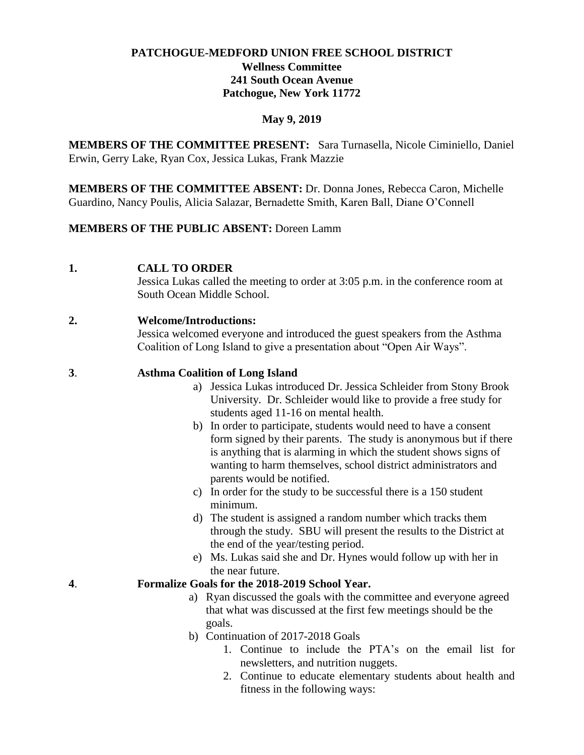# **PATCHOGUE-MEDFORD UNION FREE SCHOOL DISTRICT Wellness Committee 241 South Ocean Avenue Patchogue, New York 11772**

### **May 9, 2019**

**MEMBERS OF THE COMMITTEE PRESENT:** Sara Turnasella, Nicole Ciminiello, Daniel Erwin, Gerry Lake, Ryan Cox, Jessica Lukas, Frank Mazzie

**MEMBERS OF THE COMMITTEE ABSENT:** Dr. Donna Jones, Rebecca Caron, Michelle Guardino, Nancy Poulis, Alicia Salazar, Bernadette Smith, Karen Ball, Diane O'Connell

### **MEMBERS OF THE PUBLIC ABSENT:** Doreen Lamm

**1. CALL TO ORDER**

Jessica Lukas called the meeting to order at 3:05 p.m. in the conference room at South Ocean Middle School.

## **2. Welcome/Introductions:**

Jessica welcomed everyone and introduced the guest speakers from the Asthma Coalition of Long Island to give a presentation about "Open Air Ways".

## **3**. **Asthma Coalition of Long Island**

- a) Jessica Lukas introduced Dr. Jessica Schleider from Stony Brook University. Dr. Schleider would like to provide a free study for students aged 11-16 on mental health.
- b) In order to participate, students would need to have a consent form signed by their parents. The study is anonymous but if there is anything that is alarming in which the student shows signs of wanting to harm themselves, school district administrators and parents would be notified.
- c) In order for the study to be successful there is a 150 student minimum.
- d) The student is assigned a random number which tracks them through the study. SBU will present the results to the District at the end of the year/testing period.
- e) Ms. Lukas said she and Dr. Hynes would follow up with her in the near future.

### **4**. **Formalize Goals for the 2018-2019 School Year.**

- a) Ryan discussed the goals with the committee and everyone agreed that what was discussed at the first few meetings should be the goals.
- b) Continuation of 2017-2018 Goals
	- 1. Continue to include the PTA's on the email list for newsletters, and nutrition nuggets.
	- 2. Continue to educate elementary students about health and fitness in the following ways: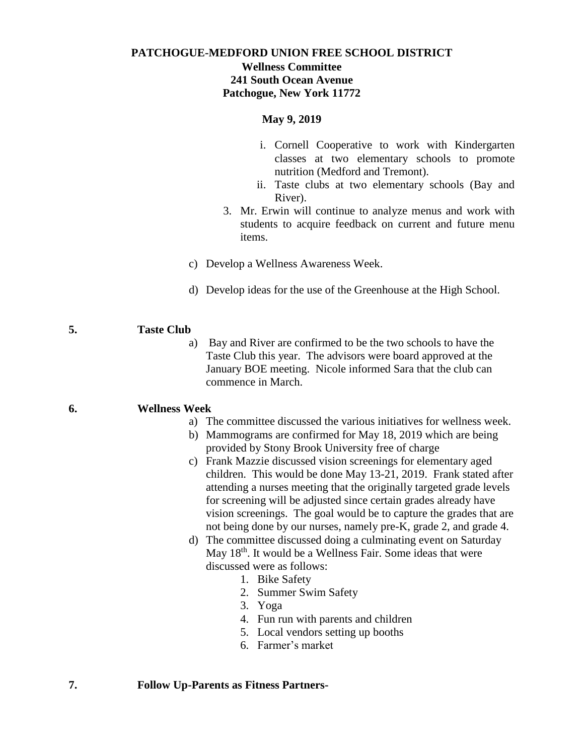# **PATCHOGUE-MEDFORD UNION FREE SCHOOL DISTRICT Wellness Committee 241 South Ocean Avenue Patchogue, New York 11772**

#### **May 9, 2019**

- i. Cornell Cooperative to work with Kindergarten classes at two elementary schools to promote nutrition (Medford and Tremont).
- ii. Taste clubs at two elementary schools (Bay and River).
- 3. Mr. Erwin will continue to analyze menus and work with students to acquire feedback on current and future menu items.
- c) Develop a Wellness Awareness Week.
- d) Develop ideas for the use of the Greenhouse at the High School.

### **5. Taste Club**

a) Bay and River are confirmed to be the two schools to have the Taste Club this year. The advisors were board approved at the January BOE meeting. Nicole informed Sara that the club can commence in March.

## **6. Wellness Week**

- a) The committee discussed the various initiatives for wellness week.
- b) Mammograms are confirmed for May 18, 2019 which are being provided by Stony Brook University free of charge
- c) Frank Mazzie discussed vision screenings for elementary aged children. This would be done May 13-21, 2019. Frank stated after attending a nurses meeting that the originally targeted grade levels for screening will be adjusted since certain grades already have vision screenings. The goal would be to capture the grades that are not being done by our nurses, namely pre-K, grade 2, and grade 4.
- d) The committee discussed doing a culminating event on Saturday May  $18<sup>th</sup>$ . It would be a Wellness Fair. Some ideas that were discussed were as follows:
	- 1. Bike Safety
	- 2. Summer Swim Safety
	- 3. Yoga
	- 4. Fun run with parents and children
	- 5. Local vendors setting up booths
	- 6. Farmer's market

### **7. Follow Up-Parents as Fitness Partners-**